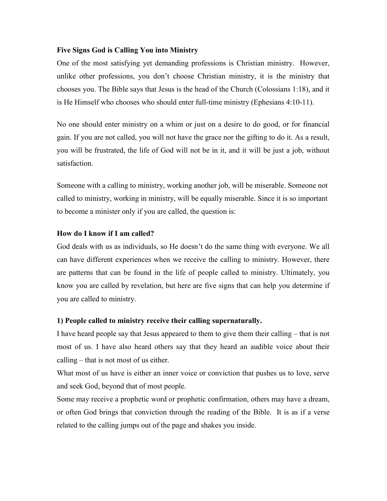## Five Signs God is Calling You into Ministry

One of the most satisfying yet demanding professions is Christian ministry. However, unlike other professions, you don't choose Christian ministry, it is the ministry that chooses you. The Bible says that Jesus is the head of the Church (Colossians 1:18), and it is He Himself who chooses who should enter full-time ministry (Ephesians 4:10-11).

No one should enter ministry on a whim or just on a desire to do good, or for financial gain. If you are not called, you will not have the grace nor the gifting to do it. As a result, you will be frustrated, the life of God will not be in it, and it will be just a job, without satisfaction.

Someone with a calling to ministry, working another job, will be miserable. Someone not called to ministry, working in ministry, will be equally miserable. Since it is so important to become a minister only if you are called, the question is:

# How do I know if I am called?

God deals with us as individuals, so He doesn't do the same thing with everyone. We all can have different experiences when we receive the calling to ministry. However, there are patterns that can be found in the life of people called to ministry. Ultimately, you know you are called by revelation, but here are five signs that can help you determine if you are called to ministry.

## 1) People called to ministry receive their calling supernaturally.

I have heard people say that Jesus appeared to them to give them their calling – that is not most of us. I have also heard others say that they heard an audible voice about their calling – that is not most of us either.

What most of us have is either an inner voice or conviction that pushes us to love, serve and seek God, beyond that of most people.

Some may receive a prophetic word or prophetic confirmation, others may have a dream, or often God brings that conviction through the reading of the Bible. It is as if a verse related to the calling jumps out of the page and shakes you inside.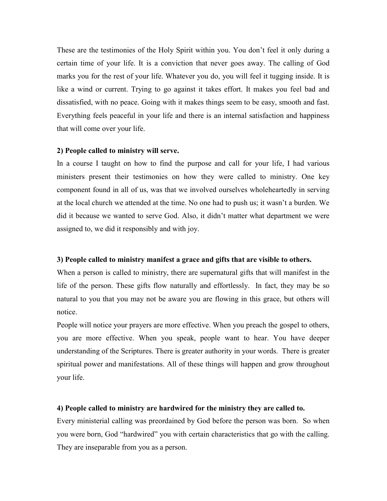These are the testimonies of the Holy Spirit within you. You don't feel it only during a certain time of your life. It is a conviction that never goes away. The calling of God marks you for the rest of your life. Whatever you do, you will feel it tugging inside. It is like a wind or current. Trying to go against it takes effort. It makes you feel bad and dissatisfied, with no peace. Going with it makes things seem to be easy, smooth and fast. Everything feels peaceful in your life and there is an internal satisfaction and happiness that will come over your life.

### 2) People called to ministry will serve.

In a course I taught on how to find the purpose and call for your life, I had various ministers present their testimonies on how they were called to ministry. One key component found in all of us, was that we involved ourselves wholeheartedly in serving at the local church we attended at the time. No one had to push us; it wasn't a burden. We did it because we wanted to serve God. Also, it didn't matter what department we were assigned to, we did it responsibly and with joy.

## 3) People called to ministry manifest a grace and gifts that are visible to others.

When a person is called to ministry, there are supernatural gifts that will manifest in the life of the person. These gifts flow naturally and effortlessly. In fact, they may be so natural to you that you may not be aware you are flowing in this grace, but others will notice.

People will notice your prayers are more effective. When you preach the gospel to others, you are more effective. When you speak, people want to hear. You have deeper understanding of the Scriptures. There is greater authority in your words. There is greater spiritual power and manifestations. All of these things will happen and grow throughout your life.

#### 4) People called to ministry are hardwired for the ministry they are called to.

Every ministerial calling was preordained by God before the person was born. So when you were born, God "hardwired" you with certain characteristics that go with the calling. They are inseparable from you as a person.